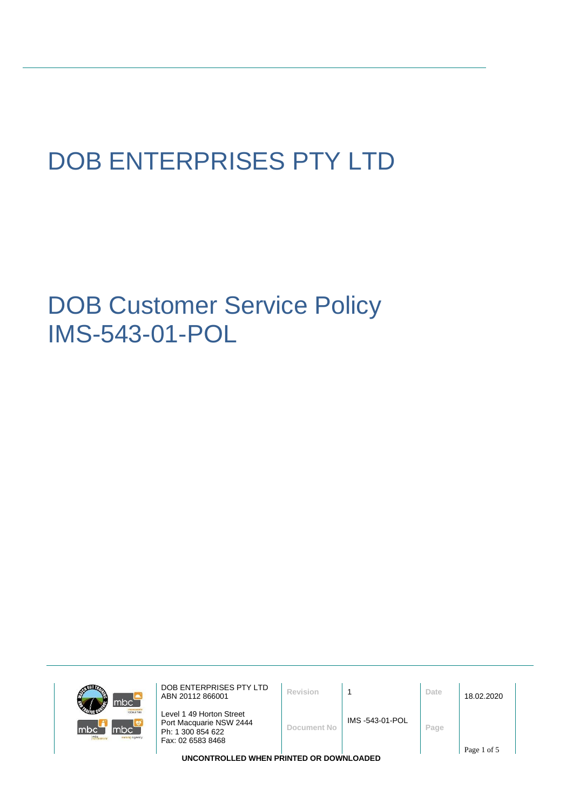# DOB ENTERPRISES PTY LTD

DOB Customer Service Policy IMS-543-01-POL



DOB ENTERPRISES PTY LTD **DOB ENTERPRISES PIY LTD**<br>ABN 20112 866001 **Revision** 1

Level 1 49 Horton Street Port Macquarie NSW 2444 Ph: 1 300 854 622 Fax: 02 6583 8468

**Document No** IMS -543-01-POL **Page**

**UNCONTROLLED WHEN PRINTED OR DOWNLOADED**

Page 1 of 5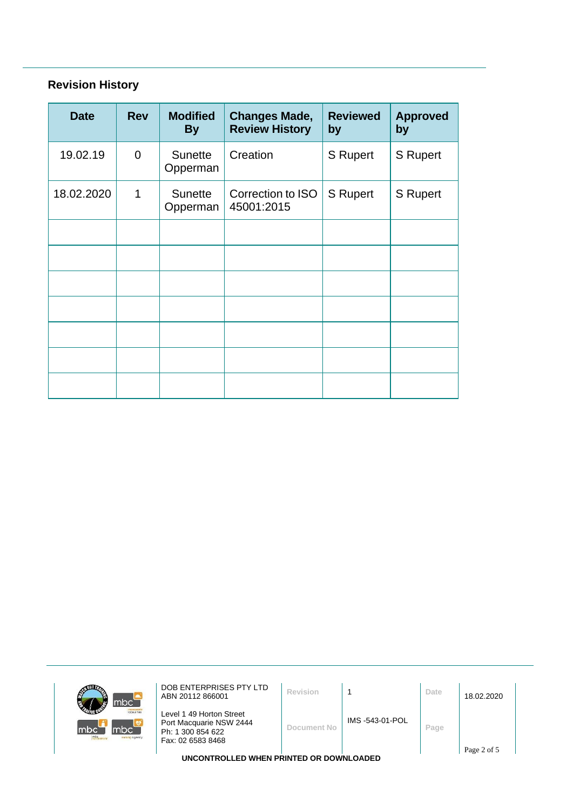# **Revision History**

| <b>Date</b> | <b>Rev</b>  | <b>Modified</b><br><b>By</b> | <b>Changes Made,</b><br><b>Review History</b> | <b>Reviewed</b><br>by | <b>Approved</b><br>by |
|-------------|-------------|------------------------------|-----------------------------------------------|-----------------------|-----------------------|
| 19.02.19    | $\mathbf 0$ | <b>Sunette</b><br>Opperman   | Creation                                      | S Rupert              | <b>S</b> Rupert       |
| 18.02.2020  | 1           | <b>Sunette</b><br>Opperman   | Correction to ISO<br>45001:2015               | <b>S</b> Rupert       | S Rupert              |
|             |             |                              |                                               |                       |                       |
|             |             |                              |                                               |                       |                       |
|             |             |                              |                                               |                       |                       |
|             |             |                              |                                               |                       |                       |
|             |             |                              |                                               |                       |                       |
|             |             |                              |                                               |                       |                       |
|             |             |                              |                                               |                       |                       |

| ABN 20112 866001 | Revision                                                                                      |                | Date                                             | 18.02.2020  |
|------------------|-----------------------------------------------------------------------------------------------|----------------|--------------------------------------------------|-------------|
|                  | Document No                                                                                   | IMS-543-01-POL | Page                                             | Page 2 of 5 |
|                  | Level 1 49 Horton Street<br>Port Macquarie NSW 2444<br>Ph: 1 300 854 622<br>Fax: 02 6583 8468 |                | <b>IBICAUTRALLER WITH BRINTER AR RAWLI AARER</b> |             |

**UNCONTROLLED WHEN PRINTED OR DOWNLOADED**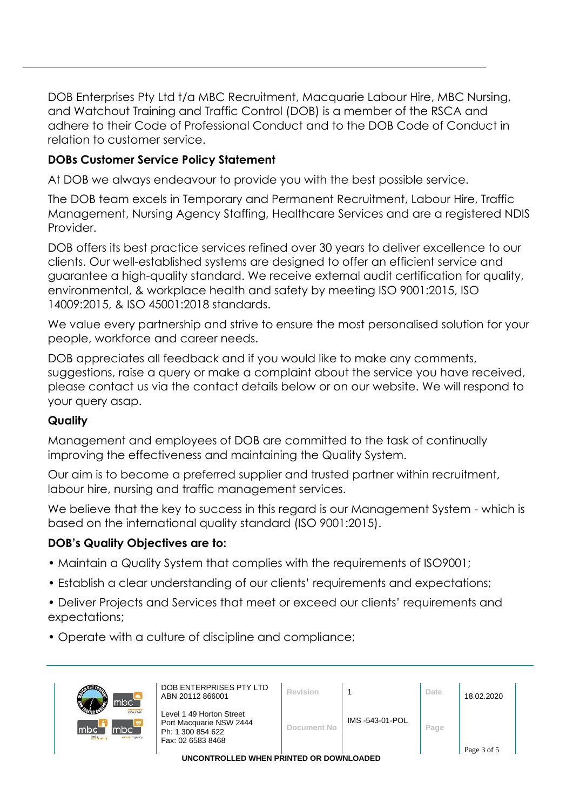DOB Enterprises Pty Ltd t/a MBC Recruitment, Macquarie Labour Hire, MBC Nursing, and Watchout Training and Traffic Control (DOB) is a member of the RSCA and adhere to their Code of Professional Conduct and to the DOB Code of Conduct in relation to customer service.

### **DOBs Customer Service Policy Statement**

At DOB we always endeavour to provide you with the best possible service.

The DOB team excels in Temporary and Permanent Recruitment, Labour Hire, Traffic Management, Nursing Agency Staffing, Healthcare Services and are a registered NDIS Provider.

DOB offers its best practice services refined over 30 years to deliver excellence to our clients. Our well-established systems are designed to offer an efficient service and guarantee a high-quality standard. We receive external audit certification for quality, environmental, & workplace health and safety by meeting ISO 9001:2015, ISO 14009:2015, & ISO 45001:2018 standards.

We value every partnership and strive to ensure the most personalised solution for your people, workforce and career needs.

DOB appreciates all feedback and if you would like to make any comments, suggestions, raise a query or make a complaint about the service you have received, please contact us via the contact details below or on our website. We will respond to your query asap.

#### **Quality**

Management and employees of DOB are committed to the task of continually improving the effectiveness and maintaining the Quality System.

Our aim is to become a preferred supplier and trusted partner within recruitment, labour hire, nursing and traffic management services.

We believe that the key to success in this regard is our Management System - which is based on the international quality standard (ISO 9001:2015).

#### **DOB's Quality Objectives are to:**

- Maintain a Quality System that complies with the requirements of ISO9001;
- Establish a clear understanding of our clients' requirements and expectations;
- Deliver Projects and Services that meet or exceed our clients' requirements and expectations;
- Operate with a culture of discipline and compliance;

| mbc <sup>-</sup>                                            | DOB ENTERPRISES PTY LTD<br>ABN 20112 866001                                                   | Revision     |                 | Date | 18.02.2020  |  |
|-------------------------------------------------------------|-----------------------------------------------------------------------------------------------|--------------|-----------------|------|-------------|--|
| <b>Icloour hire</b><br>mbc<br>mbc`<br><b>TUrsing agency</b> | Level 1 49 Horton Street<br>Port Macquarie NSW 2444<br>Ph: 1 300 854 622<br>Fax: 02 6583 8468 | Document No. | IMS -543-01-POL | Page |             |  |
|                                                             |                                                                                               |              |                 |      | Page 3 of 5 |  |
| IINCONTROLLED WHEN BRINTED OR DOMAIL OADED.                 |                                                                                               |              |                 |      |             |  |

**UNCONTROLLED WHEN PRINTED OR DOWNLOADED**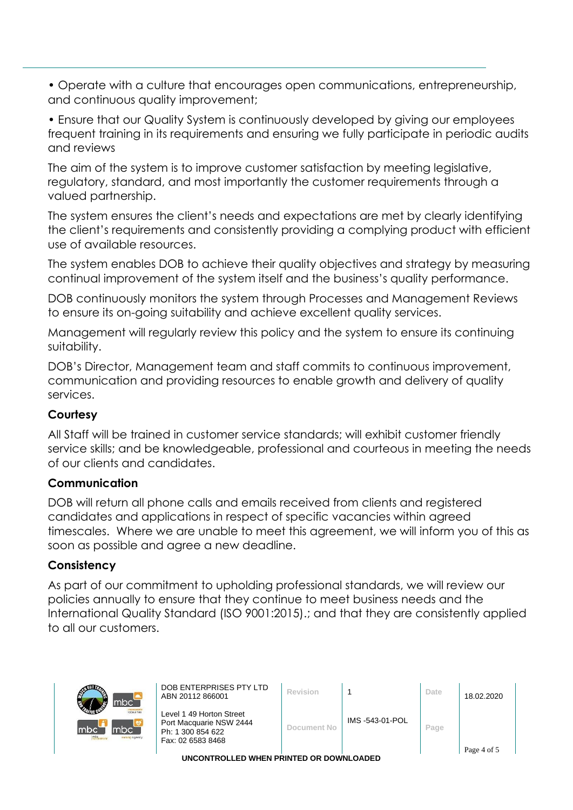• Operate with a culture that encourages open communications, entrepreneurship, and continuous quality improvement;

• Ensure that our Quality System is continuously developed by giving our employees frequent training in its requirements and ensuring we fully participate in periodic audits and reviews

The aim of the system is to improve customer satisfaction by meeting legislative, regulatory, standard, and most importantly the customer requirements through a valued partnership.

The system ensures the client's needs and expectations are met by clearly identifying the client's requirements and consistently providing a complying product with efficient use of available resources.

The system enables DOB to achieve their quality objectives and strategy by measuring continual improvement of the system itself and the business's quality performance.

DOB continuously monitors the system through Processes and Management Reviews to ensure its on-going suitability and achieve excellent quality services.

Management will regularly review this policy and the system to ensure its continuing suitability.

DOB's Director, Management team and staff commits to continuous improvement, communication and providing resources to enable growth and delivery of quality services.

## **Courtesy**

All Staff will be trained in customer service standards; will exhibit customer friendly service skills; and be knowledgeable, professional and courteous in meeting the needs of our clients and candidates.

#### **Communication**

DOB will return all phone calls and emails received from clients and registered candidates and applications in respect of specific vacancies within agreed timescales. Where we are unable to meet this agreement, we will inform you of this as soon as possible and agree a new deadline.

#### **Consistency**

As part of our commitment to upholding professional standards, we will review our policies annually to ensure that they continue to meet business needs and the International Quality Standard (ISO 9001:2015).; and that they are consistently applied to all our customers.

| mbc`                                                                  | DOB ENTERPRISES PTY LTD<br>ABN 20112 866001                                                   | Revision    |                | Date | 18.02.2020  |
|-----------------------------------------------------------------------|-----------------------------------------------------------------------------------------------|-------------|----------------|------|-------------|
| <b>Icloour hire</b><br>mbc <b>m</b><br>Imbc<br>mtc.<br>sursing agency | Level 1 49 Horton Street<br>Port Macquarie NSW 2444<br>Ph: 1 300 854 622<br>Fax: 02 6583 8468 | Document No | IMS-543-01-POL | Page |             |
|                                                                       |                                                                                               |             |                |      | Page 4 of 5 |

**UNCONTROLLED WHEN PRINTED OR DOWNLOADED**